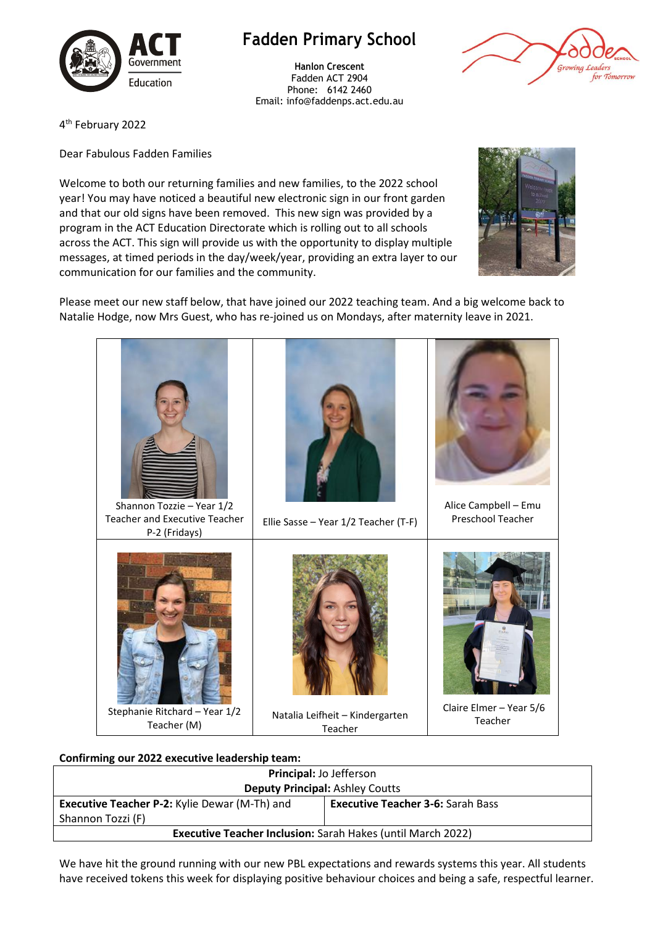

## **Fadden Primary School**

**Hanlon Crescent** Fadden ACT 2904 Phone: 6142 2460 Email: info@faddenps.act.edu.au



4 th February 2022

Dear Fabulous Fadden Families

Welcome to both our returning families and new families, to the 2022 school year! You may have noticed a beautiful new electronic sign in our front garden and that our old signs have been removed. This new sign was provided by a program in the ACT Education Directorate which is rolling out to all schools across the ACT. This sign will provide us with the opportunity to display multiple messages, at timed periods in the day/week/year, providing an extra layer to our communication for our families and the community.



Please meet our new staff below, that have joined our 2022 teaching team. And a big welcome back to Natalie Hodge, now Mrs Guest, who has re-joined us on Mondays, after maternity leave in 2021.



## **Confirming our 2022 executive leadership team:**

| Principal: Jo Jefferson                                            |                                          |  |  |
|--------------------------------------------------------------------|------------------------------------------|--|--|
| <b>Deputy Principal: Ashley Coutts</b>                             |                                          |  |  |
| <b>Executive Teacher P-2: Kylie Dewar (M-Th) and</b>               | <b>Executive Teacher 3-6: Sarah Bass</b> |  |  |
| Shannon Tozzi (F)                                                  |                                          |  |  |
| <b>Executive Teacher Inclusion: Sarah Hakes (until March 2022)</b> |                                          |  |  |
|                                                                    |                                          |  |  |

We have hit the ground running with our new PBL expectations and rewards systems this year. All students have received tokens this week for displaying positive behaviour choices and being a safe, respectful learner.